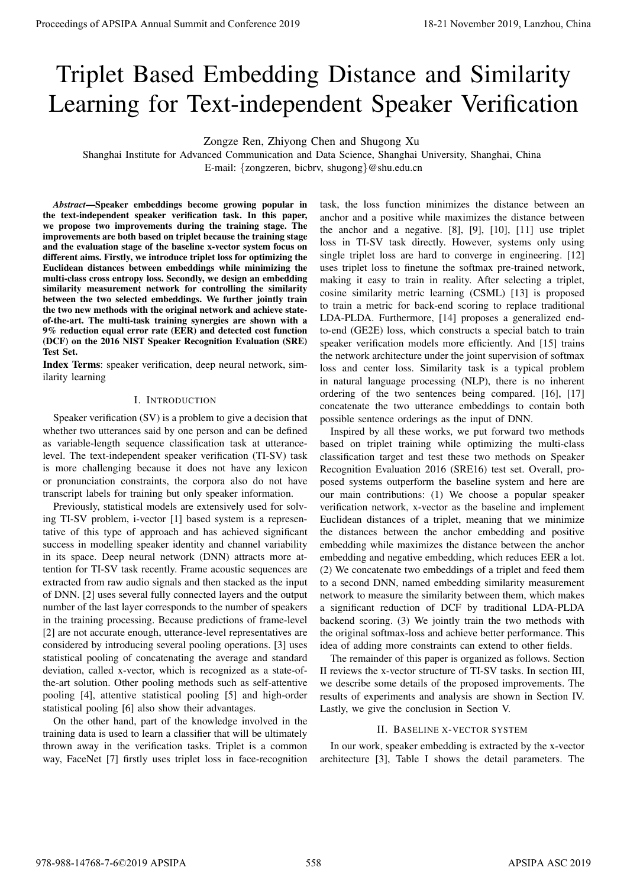# Triplet Based Embedding Distance and Similarity Learning for Text-independent Speaker Verification

Zongze Ren, Zhiyong Chen and Shugong Xu

Shanghai Institute for Advanced Communication and Data Science, Shanghai University, Shanghai, China E-mail: {zongzeren, bicbrv, shugong}@shu.edu.cn

*Abstract*—Speaker embeddings become growing popular in the text-independent speaker verification task. In this paper, we propose two improvements during the training stage. The improvements are both based on triplet because the training stage and the evaluation stage of the baseline x-vector system focus on different aims. Firstly, we introduce triplet loss for optimizing the Euclidean distances between embeddings while minimizing the multi-class cross entropy loss. Secondly, we design an embedding similarity measurement network for controlling the similarity between the two selected embeddings. We further jointly train the two new methods with the original network and achieve stateof-the-art. The multi-task training synergies are shown with a 9% reduction equal error rate (EER) and detected cost function (DCF) on the 2016 NIST Speaker Recognition Evaluation (SRE) Test Set.

Index Terms: speaker verification, deep neural network, similarity learning

## I. INTRODUCTION

Speaker verification (SV) is a problem to give a decision that whether two utterances said by one person and can be defined as variable-length sequence classification task at utterancelevel. The text-independent speaker verification (TI-SV) task is more challenging because it does not have any lexicon or pronunciation constraints, the corpora also do not have transcript labels for training but only speaker information.

Previously, statistical models are extensively used for solving TI-SV problem, i-vector [1] based system is a representative of this type of approach and has achieved significant success in modelling speaker identity and channel variability in its space. Deep neural network (DNN) attracts more attention for TI-SV task recently. Frame acoustic sequences are extracted from raw audio signals and then stacked as the input of DNN. [2] uses several fully connected layers and the output number of the last layer corresponds to the number of speakers in the training processing. Because predictions of frame-level [2] are not accurate enough, utterance-level representatives are considered by introducing several pooling operations. [3] uses statistical pooling of concatenating the average and standard deviation, called x-vector, which is recognized as a state-ofthe-art solution. Other pooling methods such as self-attentive pooling [4], attentive statistical pooling [5] and high-order statistical pooling [6] also show their advantages.

On the other hand, part of the knowledge involved in the training data is used to learn a classifier that will be ultimately thrown away in the verification tasks. Triplet is a common way, FaceNet [7] firstly uses triplet loss in face-recognition

task, the loss function minimizes the distance between an anchor and a positive while maximizes the distance between the anchor and a negative. [8], [9], [10], [11] use triplet loss in TI-SV task directly. However, systems only using single triplet loss are hard to converge in engineering. [12] uses triplet loss to finetune the softmax pre-trained network, making it easy to train in reality. After selecting a triplet, cosine similarity metric learning (CSML) [13] is proposed to train a metric for back-end scoring to replace traditional LDA-PLDA. Furthermore, [14] proposes a generalized endto-end (GE2E) loss, which constructs a special batch to train speaker verification models more efficiently. And [15] trains the network architecture under the joint supervision of softmax loss and center loss. Similarity task is a typical problem in natural language processing (NLP), there is no inherent ordering of the two sentences being compared. [16], [17] concatenate the two utterance embeddings to contain both possible sentence orderings as the input of DNN. **Proceedings of APSIPA Annual Summit and Conference 2019**<br> **Triplet Based Embeddings Distance and Distance and Distance 2019**<br>
Summit and Annual Consensation and Distance and Distance and Distance and Distribution<br>
Summit

Inspired by all these works, we put forward two methods based on triplet training while optimizing the multi-class classification target and test these two methods on Speaker Recognition Evaluation 2016 (SRE16) test set. Overall, proposed systems outperform the baseline system and here are our main contributions: (1) We choose a popular speaker verification network, x-vector as the baseline and implement Euclidean distances of a triplet, meaning that we minimize the distances between the anchor embedding and positive embedding while maximizes the distance between the anchor embedding and negative embedding, which reduces EER a lot. (2) We concatenate two embeddings of a triplet and feed them to a second DNN, named embedding similarity measurement network to measure the similarity between them, which makes a significant reduction of DCF by traditional LDA-PLDA backend scoring. (3) We jointly train the two methods with the original softmax-loss and achieve better performance. This idea of adding more constraints can extend to other fields.

The remainder of this paper is organized as follows. Section II reviews the x-vector structure of TI-SV tasks. In section III, we describe some details of the proposed improvements. The results of experiments and analysis are shown in Section IV. Lastly, we give the conclusion in Section V.

## II. BASELINE X-VECTOR SYSTEM

In our work, speaker embedding is extracted by the x-vector architecture [3], Table I shows the detail parameters. The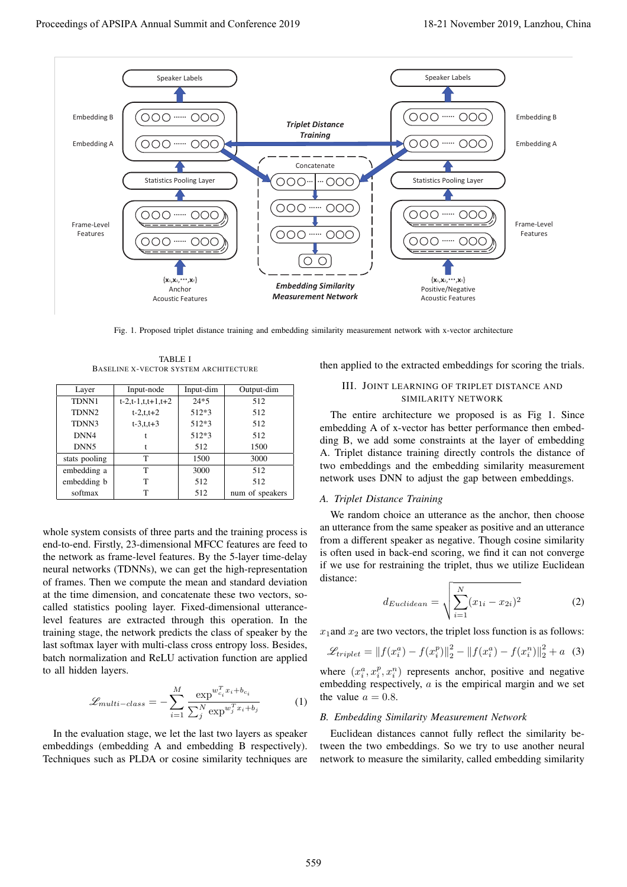

Fig. 1. Proposed triplet distance training and embedding similarity measurement network with x-vector architecture

TABLE I BASELINE X-VECTOR SYSTEM ARCHITECTURE

| Layer             | Input-node          | Input-dim | Output-dim      |
|-------------------|---------------------|-----------|-----------------|
| TDNN1             | $t-2,t-1,t,t+1,t+2$ | $24*5$    | 512             |
| TDNN <sub>2</sub> | $t - 2, t, t + 2$   | $512*3$   | 512             |
| TDNN3             | $t - 3, t, t + 3$   | 512*3     | 512             |
| DNN4              |                     | 512*3     | 512             |
| DNN <sub>5</sub>  | t                   | 512       | 1500            |
| stats pooling     | т                   | 1500      | 3000            |
| embedding a       | T                   | 3000      | 512             |
| embedding b       | T                   | 512       | 512             |
| softmax           | т                   | 512       | num of speakers |

whole system consists of three parts and the training process is end-to-end. Firstly, 23-dimensional MFCC features are feed to the network as frame-level features. By the 5-layer time-delay neural networks (TDNNs), we can get the high-representation of frames. Then we compute the mean and standard deviation at the time dimension, and concatenate these two vectors, socalled statistics pooling layer. Fixed-dimensional utterancelevel features are extracted through this operation. In the training stage, the network predicts the class of speaker by the last softmax layer with multi-class cross entropy loss. Besides, batch normalization and ReLU activation function are applied to all hidden layers.

$$
\mathcal{L}_{multi-class} = -\sum_{i=1}^{M} \frac{\exp^{w_{c_i}^T x_i + b_{c_i}}}{\sum_{j}^{N} \exp^{w_j^T x_i + b_j}}
$$
(1)

In the evaluation stage, we let the last two layers as speaker embeddings (embedding A and embedding B respectively). Techniques such as PLDA or cosine similarity techniques are then applied to the extracted embeddings for scoring the trials.

## III. JOINT LEARNING OF TRIPLET DISTANCE AND SIMILARITY NETWORK

The entire architecture we proposed is as Fig 1. Since embedding A of x-vector has better performance then embedding B, we add some constraints at the layer of embedding A. Triplet distance training directly controls the distance of two embeddings and the embedding similarity measurement network uses DNN to adjust the gap between embeddings.

#### *A. Triplet Distance Training*

We random choice an utterance as the anchor, then choose an utterance from the same speaker as positive and an utterance from a different speaker as negative. Though cosine similarity is often used in back-end scoring, we find it can not converge if we use for restraining the triplet, thus we utilize Euclidean distance:

$$
d_{Euclidean} = \sqrt{\sum_{i=1}^{N} (x_{1i} - x_{2i})^2}
$$
 (2)

 $x_1$  and  $x_2$  are two vectors, the triplet loss function is as follows:

$$
\mathcal{L}_{triplet} = ||f(x_i^a) - f(x_i^p)||_2^2 - ||f(x_i^a) - f(x_i^n)||_2^2 + a
$$
 (3)

where  $(x_i^a, x_i^p, x_i^a)$  represents anchor, positive and negative<br>embedding respectively a is the empirical margin and we set embedding respectively,  $a$  is the empirical margin and we set the value  $a = 0.8$ .

#### *B. Embedding Similarity Measurement Network*

Euclidean distances cannot fully reflect the similarity between the two embeddings. So we try to use another neural network to measure the similarity, called embedding similarity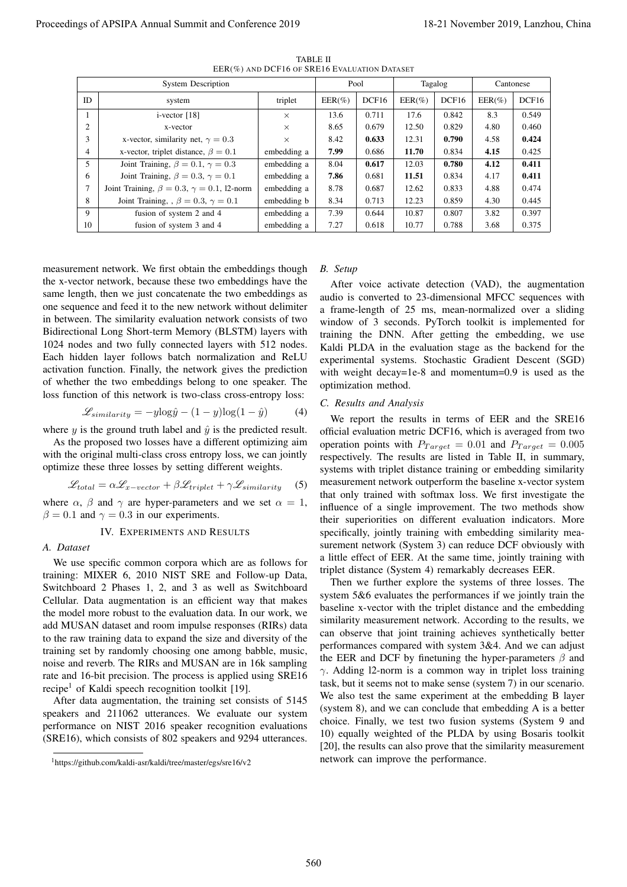| <b>System Description</b>                                                                                                                                                                                                                                                                                                                                                                                                                                                                                                                                                                                                                                                                                                                                                                                                                                                                                                                                                                                                                                                                                                                                                                                                                                                                                                                                                                                                                                                                                                                                                                                                                                                                                 |                                                                        |                                                                                                                   | EER(%) AND DCF16 OF SRE16 EVALUATION DATASET<br>Pool |                                                                                                                                                                                                                                                                                                                                                                                                                                                                                                                                                                                                                                                                                                                                                                                                                                                                                                                                                                                                                                                                                                                                                                                                                                                                                                                                                                                                                                                                                                                                                                                                               |                |             |                |  |
|-----------------------------------------------------------------------------------------------------------------------------------------------------------------------------------------------------------------------------------------------------------------------------------------------------------------------------------------------------------------------------------------------------------------------------------------------------------------------------------------------------------------------------------------------------------------------------------------------------------------------------------------------------------------------------------------------------------------------------------------------------------------------------------------------------------------------------------------------------------------------------------------------------------------------------------------------------------------------------------------------------------------------------------------------------------------------------------------------------------------------------------------------------------------------------------------------------------------------------------------------------------------------------------------------------------------------------------------------------------------------------------------------------------------------------------------------------------------------------------------------------------------------------------------------------------------------------------------------------------------------------------------------------------------------------------------------------------|------------------------------------------------------------------------|-------------------------------------------------------------------------------------------------------------------|------------------------------------------------------|---------------------------------------------------------------------------------------------------------------------------------------------------------------------------------------------------------------------------------------------------------------------------------------------------------------------------------------------------------------------------------------------------------------------------------------------------------------------------------------------------------------------------------------------------------------------------------------------------------------------------------------------------------------------------------------------------------------------------------------------------------------------------------------------------------------------------------------------------------------------------------------------------------------------------------------------------------------------------------------------------------------------------------------------------------------------------------------------------------------------------------------------------------------------------------------------------------------------------------------------------------------------------------------------------------------------------------------------------------------------------------------------------------------------------------------------------------------------------------------------------------------------------------------------------------------------------------------------------------------|----------------|-------------|----------------|--|
|                                                                                                                                                                                                                                                                                                                                                                                                                                                                                                                                                                                                                                                                                                                                                                                                                                                                                                                                                                                                                                                                                                                                                                                                                                                                                                                                                                                                                                                                                                                                                                                                                                                                                                           |                                                                        |                                                                                                                   |                                                      | Tagalog                                                                                                                                                                                                                                                                                                                                                                                                                                                                                                                                                                                                                                                                                                                                                                                                                                                                                                                                                                                                                                                                                                                                                                                                                                                                                                                                                                                                                                                                                                                                                                                                       |                | Cantonese   |                |  |
| ID<br>system                                                                                                                                                                                                                                                                                                                                                                                                                                                                                                                                                                                                                                                                                                                                                                                                                                                                                                                                                                                                                                                                                                                                                                                                                                                                                                                                                                                                                                                                                                                                                                                                                                                                                              | triplet                                                                | $EER(\%)$                                                                                                         | DCF16                                                | $EER(\%)$                                                                                                                                                                                                                                                                                                                                                                                                                                                                                                                                                                                                                                                                                                                                                                                                                                                                                                                                                                                                                                                                                                                                                                                                                                                                                                                                                                                                                                                                                                                                                                                                     | DCF16          | $EER(\%)$   | DCF16          |  |
| $i$ -vector [18]<br>$\mathbf{1}$<br>2<br>x-vector                                                                                                                                                                                                                                                                                                                                                                                                                                                                                                                                                                                                                                                                                                                                                                                                                                                                                                                                                                                                                                                                                                                                                                                                                                                                                                                                                                                                                                                                                                                                                                                                                                                         | $\times$                                                               | 13.6<br>8.65                                                                                                      | 0.711<br>0.679                                       | 17.6<br>12.50                                                                                                                                                                                                                                                                                                                                                                                                                                                                                                                                                                                                                                                                                                                                                                                                                                                                                                                                                                                                                                                                                                                                                                                                                                                                                                                                                                                                                                                                                                                                                                                                 | 0.842<br>0.829 | 8.3<br>4.80 | 0.549<br>0.460 |  |
| 3<br>x-vector, similarity net, $\gamma = 0.3$                                                                                                                                                                                                                                                                                                                                                                                                                                                                                                                                                                                                                                                                                                                                                                                                                                                                                                                                                                                                                                                                                                                                                                                                                                                                                                                                                                                                                                                                                                                                                                                                                                                             | $\times$<br>$\times$                                                   | 8.42                                                                                                              | 0.633                                                | 12.31                                                                                                                                                                                                                                                                                                                                                                                                                                                                                                                                                                                                                                                                                                                                                                                                                                                                                                                                                                                                                                                                                                                                                                                                                                                                                                                                                                                                                                                                                                                                                                                                         | 0.790          | 4.58        | 0.424          |  |
| x-vector, triplet distance, $\beta = 0.1$<br>4                                                                                                                                                                                                                                                                                                                                                                                                                                                                                                                                                                                                                                                                                                                                                                                                                                                                                                                                                                                                                                                                                                                                                                                                                                                                                                                                                                                                                                                                                                                                                                                                                                                            | embedding a                                                            | 7.99                                                                                                              | 0.686                                                | 11.70                                                                                                                                                                                                                                                                                                                                                                                                                                                                                                                                                                                                                                                                                                                                                                                                                                                                                                                                                                                                                                                                                                                                                                                                                                                                                                                                                                                                                                                                                                                                                                                                         | 0.834          | 4.15        | 0.425          |  |
| 5<br>Joint Training, $\beta = 0.1$ , $\gamma = 0.3$                                                                                                                                                                                                                                                                                                                                                                                                                                                                                                                                                                                                                                                                                                                                                                                                                                                                                                                                                                                                                                                                                                                                                                                                                                                                                                                                                                                                                                                                                                                                                                                                                                                       | embedding a                                                            | 8.04                                                                                                              | 0.617                                                | 12.03                                                                                                                                                                                                                                                                                                                                                                                                                                                                                                                                                                                                                                                                                                                                                                                                                                                                                                                                                                                                                                                                                                                                                                                                                                                                                                                                                                                                                                                                                                                                                                                                         | 0.780          | 4.12        | 0.411          |  |
| Joint Training, $\beta = 0.3$ , $\gamma = 0.1$<br>6                                                                                                                                                                                                                                                                                                                                                                                                                                                                                                                                                                                                                                                                                                                                                                                                                                                                                                                                                                                                                                                                                                                                                                                                                                                                                                                                                                                                                                                                                                                                                                                                                                                       | embedding a                                                            | 7.86                                                                                                              | 0.681                                                | 11.51                                                                                                                                                                                                                                                                                                                                                                                                                                                                                                                                                                                                                                                                                                                                                                                                                                                                                                                                                                                                                                                                                                                                                                                                                                                                                                                                                                                                                                                                                                                                                                                                         | 0.834          | 4.17        | 0.411          |  |
| $\overline{7}$<br>Joint Training, $\beta = 0.3$ , $\gamma = 0.1$ , 12-norm                                                                                                                                                                                                                                                                                                                                                                                                                                                                                                                                                                                                                                                                                                                                                                                                                                                                                                                                                                                                                                                                                                                                                                                                                                                                                                                                                                                                                                                                                                                                                                                                                                | embedding a                                                            | 8.78                                                                                                              | 0.687                                                | 12.62                                                                                                                                                                                                                                                                                                                                                                                                                                                                                                                                                                                                                                                                                                                                                                                                                                                                                                                                                                                                                                                                                                                                                                                                                                                                                                                                                                                                                                                                                                                                                                                                         | 0.833          | 4.88        | 0.474          |  |
| 8<br>Joint Training, , $\beta = 0.3$ , $\gamma = 0.1$                                                                                                                                                                                                                                                                                                                                                                                                                                                                                                                                                                                                                                                                                                                                                                                                                                                                                                                                                                                                                                                                                                                                                                                                                                                                                                                                                                                                                                                                                                                                                                                                                                                     | embedding b                                                            | 8.34                                                                                                              | 0.713                                                | 12.23                                                                                                                                                                                                                                                                                                                                                                                                                                                                                                                                                                                                                                                                                                                                                                                                                                                                                                                                                                                                                                                                                                                                                                                                                                                                                                                                                                                                                                                                                                                                                                                                         | 0.859          | 4.30        | 0.445          |  |
| 9<br>fusion of system 2 and 4                                                                                                                                                                                                                                                                                                                                                                                                                                                                                                                                                                                                                                                                                                                                                                                                                                                                                                                                                                                                                                                                                                                                                                                                                                                                                                                                                                                                                                                                                                                                                                                                                                                                             | embedding a                                                            | 7.39                                                                                                              | 0.644                                                | 10.87                                                                                                                                                                                                                                                                                                                                                                                                                                                                                                                                                                                                                                                                                                                                                                                                                                                                                                                                                                                                                                                                                                                                                                                                                                                                                                                                                                                                                                                                                                                                                                                                         | 0.807          | 3.82        | 0.397          |  |
| 10<br>fusion of system 3 and 4                                                                                                                                                                                                                                                                                                                                                                                                                                                                                                                                                                                                                                                                                                                                                                                                                                                                                                                                                                                                                                                                                                                                                                                                                                                                                                                                                                                                                                                                                                                                                                                                                                                                            | embedding a                                                            | 7.27                                                                                                              | 0.618                                                | 10.77                                                                                                                                                                                                                                                                                                                                                                                                                                                                                                                                                                                                                                                                                                                                                                                                                                                                                                                                                                                                                                                                                                                                                                                                                                                                                                                                                                                                                                                                                                                                                                                                         | 0.788          | 3.68        | 0.375          |  |
| one sequence and feed it to the new network without delimiter<br>in between. The similarity evaluation network consists of two<br>Bidirectional Long Short-term Memory (BLSTM) layers with<br>1024 nodes and two fully connected layers with 512 nodes.<br>Each hidden layer follows batch normalization and ReLU<br>activation function. Finally, the network gives the prediction<br>of whether the two embeddings belong to one speaker. The<br>loss function of this network is two-class cross-entropy loss:<br>$\mathcal{L}_{similarity} = -y \log \hat{y} - (1 - y) \log(1 - \hat{y})$<br>where y is the ground truth label and $\hat{y}$ is the predicted result.<br>As the proposed two losses have a different optimizing aim<br>with the original multi-class cross entropy loss, we can jointly<br>optimize these three losses by setting different weights.<br>$\mathcal{L}_{total} = \alpha \mathcal{L}_{x-vector} + \beta \mathcal{L}_{triplet} + \gamma \mathcal{L}_{similarity}$<br>where $\alpha$ , $\beta$ and $\gamma$ are hyper-parameters and we set $\alpha = 1$ ,<br>$\beta = 0.1$ and $\gamma = 0.3$ in our experiments.<br>IV. EXPERIMENTS AND RESULTS<br>A. Dataset<br>We use specific common corpora which are as follows for<br>training: MIXER 6, 2010 NIST SRE and Follow-up Data,<br>Switchboard 2 Phases 1, 2, and 3 as well as Switchboard<br>Cellular. Data augmentation is an efficient way that makes<br>the model more robust to the evaluation data. In our work, we<br>add MUSAN dataset and room impulse responses (RIRs) data<br>to the raw training data to expand the size and diversity of the<br>training set by randomly choosing one among babble, music, | (4)<br>(5)<br>noise and reverb. The RIRs and MUSAN are in 16k sampling | optimization method.<br>C. Results and Analysis<br>the EER and DCF by finetuning the hyper-parameters $\beta$ and |                                                      | a frame-length of 25 ms, mean-normalized over a sliding<br>window of 3 seconds. PyTorch toolkit is implemented for<br>training the DNN. After getting the embedding, we use<br>Kaldi PLDA in the evaluation stage as the backend for the<br>experimental systems. Stochastic Gradient Descent (SGD)<br>with weight decay=1e-8 and momentum=0.9 is used as the<br>We report the results in terms of EER and the SRE16<br>official evaluation metric DCF16, which is averaged from two<br>operation points with $P_{Target} = 0.01$ and $P_{Target} = 0.005$<br>respectively. The results are listed in Table II, in summary,<br>systems with triplet distance training or embedding similarity<br>measurement network outperform the baseline x-vector system<br>that only trained with softmax loss. We first investigate the<br>influence of a single improvement. The two methods show<br>their superiorities on different evaluation indicators. More<br>specifically, jointly training with embedding similarity mea-<br>surement network (System 3) can reduce DCF obviously with<br>a little effect of EER. At the same time, jointly training with<br>triplet distance (System 4) remarkably decreases EER.<br>Then we further explore the systems of three losses. The<br>system 5&6 evaluates the performances if we jointly train the<br>baseline x-vector with the triplet distance and the embedding<br>similarity measurement network. According to the results, we<br>can observe that joint training achieves synthetically better<br>performances compared with system 3&4. And we can adjust |                |             |                |  |

TABLE II EER(%) AND DCF16 OF SRE16 EVALUATION DATASET

$$
\mathcal{L}_{similarity} = -y \log \hat{y} - (1 - y) \log(1 - \hat{y}) \tag{4}
$$

$$
\mathcal{L}_{total} = \alpha \mathcal{L}_{x-vector} + \beta \mathcal{L}_{triplet} + \gamma \mathcal{L}_{similarity} \quad (5)
$$

## IV. EXPERIMENTS AND RESULTS

## *A. Dataset*

## *B. Setup*

#### *C. Results and Analysis*

<sup>1</sup>https://github.com/kaldi-asr/kaldi/tree/master/egs/sre16/v2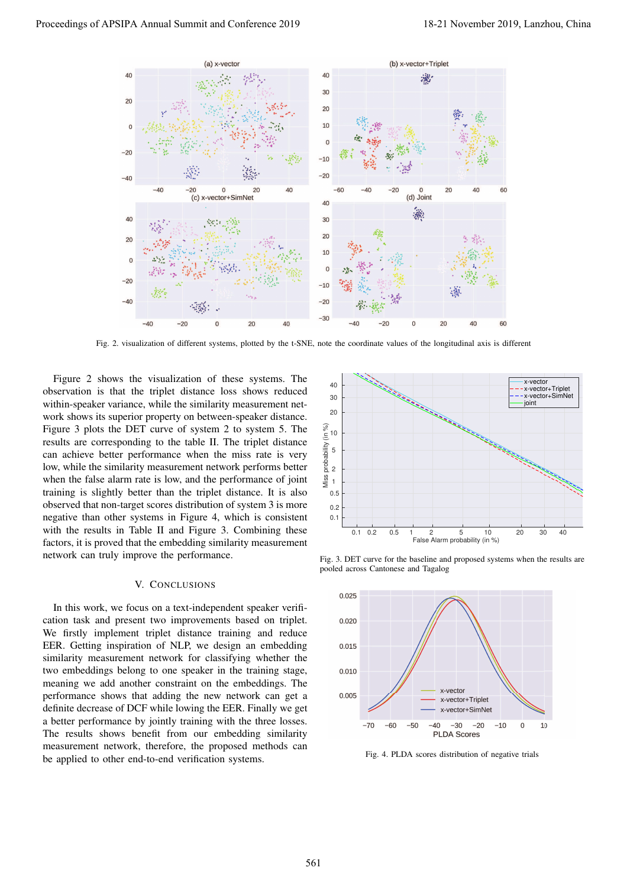

Fig. 2. visualization of different systems, plotted by the t-SNE, note the coordinate values of the longitudinal axis is different

Figure 2 shows the visualization of these systems. The observation is that the triplet distance loss shows reduced within-speaker variance, while the similarity measurement network shows its superior property on between-speaker distance. Figure 3 plots the DET curve of system 2 to system 5. The results are corresponding to the table II. The triplet distance can achieve better performance when the miss rate is very low, while the similarity measurement network performs better when the false alarm rate is low, and the performance of joint training is slightly better than the triplet distance. It is also observed that non-target scores distribution of system 3 is more negative than other systems in Figure 4, which is consistent with the results in Table II and Figure 3. Combining these factors, it is proved that the embedding similarity measurement network can truly improve the performance.

#### V. CONCLUSIONS

In this work, we focus on a text-independent speaker verification task and present two improvements based on triplet. We firstly implement triplet distance training and reduce EER. Getting inspiration of NLP, we design an embedding similarity measurement network for classifying whether the two embeddings belong to one speaker in the training stage, meaning we add another constraint on the embeddings. The performance shows that adding the new network can get a definite decrease of DCF while lowing the EER. Finally we get a better performance by jointly training with the three losses. The results shows benefit from our embedding similarity measurement network, therefore, the proposed methods can be applied to other end-to-end verification systems.



Fig. 3. DET curve for the baseline and proposed systems when the results are pooled across Cantonese and Tagalog



Fig. 4. PLDA scores distribution of negative trials